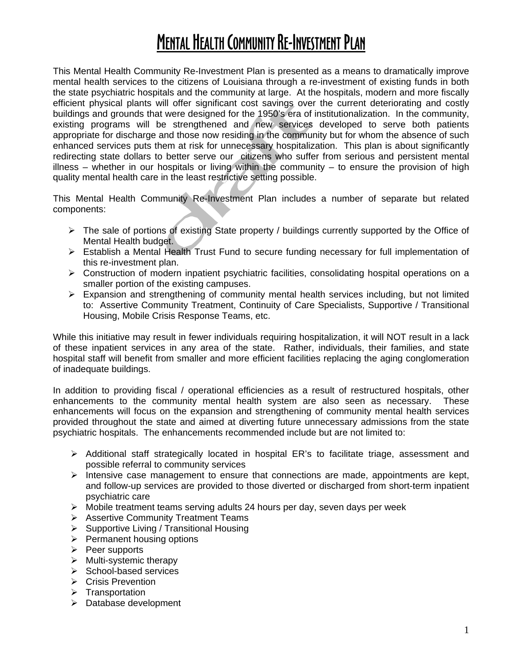# MENTAL HEALTH COMMUNITY RE-INVESTMENT PLAN

This Mental Health Community Re-Investment Plan is presented as a means to dramatically improve mental health services to the citizens of Louisiana through a re-investment of existing funds in both the state psychiatric hospitals and the community at large. At the hospitals, modern and more fiscally efficient physical plants will offer significant cost savings over the current deteriorating and costly buildings and grounds that were designed for the 1950's era of institutionalization. In the community, existing programs will be strengthened and new services developed to serve both patients appropriate for discharge and those now residing in the community but for whom the absence of such enhanced services puts them at risk for unnecessary hospitalization. This plan is about significantly redirecting state dollars to better serve our citizens who suffer from serious and persistent mental illness – whether in our hospitals or living within the community – to ensure the provision of high quality mental health care in the least restrictive setting possible.

This Mental Health Community Re-Investment Plan includes a number of separate but related components:

- $\triangleright$  The sale of portions of existing State property / buildings currently supported by the Office of Mental Health budget.
- ¾ Establish a Mental Health Trust Fund to secure funding necessary for full implementation of this re-investment plan.
- ¾ Construction of modern inpatient psychiatric facilities, consolidating hospital operations on a smaller portion of the existing campuses.
- $\triangleright$  Expansion and strengthening of community mental health services including, but not limited to: Assertive Community Treatment, Continuity of Care Specialists, Supportive / Transitional Housing, Mobile Crisis Response Teams, etc.

While this initiative may result in fewer individuals requiring hospitalization, it will NOT result in a lack of these inpatient services in any area of the state. Rather, individuals, their families, and state hospital staff will benefit from smaller and more efficient facilities replacing the aging conglomeration of inadequate buildings.

In addition to providing fiscal / operational efficiencies as a result of restructured hospitals, other enhancements to the community mental health system are also seen as necessary. These enhancements will focus on the expansion and strengthening of community mental health services provided throughout the state and aimed at diverting future unnecessary admissions from the state psychiatric hospitals. The enhancements recommended include but are not limited to:

- ¾ Additional staff strategically located in hospital ER's to facilitate triage, assessment and possible referral to community services
- $\triangleright$  Intensive case management to ensure that connections are made, appointments are kept, and follow-up services are provided to those diverted or discharged from short-term inpatient psychiatric care
- $\triangleright$  Mobile treatment teams serving adults 24 hours per day, seven days per week
- ¾ Assertive Community Treatment Teams
- $\triangleright$  Supportive Living / Transitional Housing
- $\triangleright$  Permanent housing options
- $\triangleright$  Peer supports
- $\triangleright$  Multi-systemic therapy
- $\triangleright$  School-based services
- **▶ Crisis Prevention**
- $\triangleright$  Transportation
- $\triangleright$  Database development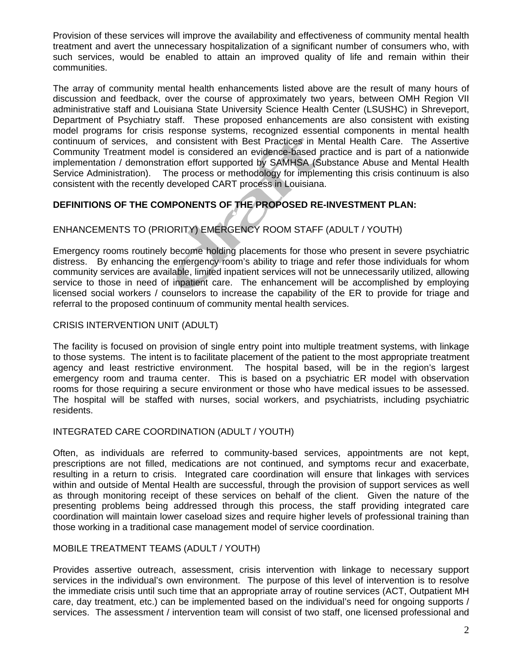Provision of these services will improve the availability and effectiveness of community mental health treatment and avert the unnecessary hospitalization of a significant number of consumers who, with such services, would be enabled to attain an improved quality of life and remain within their communities.

The array of community mental health enhancements listed above are the result of many hours of discussion and feedback, over the course of approximately two years, between OMH Region VII administrative staff and Louisiana State University Science Health Center (LSUSHC) in Shreveport, Department of Psychiatry staff. These proposed enhancements are also consistent with existing model programs for crisis response systems, recognized essential components in mental health continuum of services, and consistent with Best Practices in Mental Health Care. The Assertive Community Treatment model is considered an evidence-based practice and is part of a nationwide implementation / demonstration effort supported by SAMHSA (Substance Abuse and Mental Health Service Administration). The process or methodology for implementing this crisis continuum is also consistent with the recently developed CART process in Louisiana.

## **DEFINITIONS OF THE COMPONENTS OF THE PROPOSED RE-INVESTMENT PLAN:**

## ENHANCEMENTS TO (PRIORITY) EMERGENCY ROOM STAFF (ADULT / YOUTH)

Emergency rooms routinely become holding placements for those who present in severe psychiatric distress. By enhancing the emergency room's ability to triage and refer those individuals for whom community services are available, limited inpatient services will not be unnecessarily utilized, allowing service to those in need of inpatient care. The enhancement will be accomplished by employing licensed social workers / counselors to increase the capability of the ER to provide for triage and referral to the proposed continuum of community mental health services.

#### CRISIS INTERVENTION UNIT (ADULT)

The facility is focused on provision of single entry point into multiple treatment systems, with linkage to those systems. The intent is to facilitate placement of the patient to the most appropriate treatment agency and least restrictive environment. The hospital based, will be in the region's largest emergency room and trauma center. This is based on a psychiatric ER model with observation rooms for those requiring a secure environment or those who have medical issues to be assessed. The hospital will be staffed with nurses, social workers, and psychiatrists, including psychiatric residents.

#### INTEGRATED CARE COORDINATION (ADULT / YOUTH)

Often, as individuals are referred to community-based services, appointments are not kept, prescriptions are not filled, medications are not continued, and symptoms recur and exacerbate, resulting in a return to crisis. Integrated care coordination will ensure that linkages with services within and outside of Mental Health are successful, through the provision of support services as well as through monitoring receipt of these services on behalf of the client. Given the nature of the presenting problems being addressed through this process, the staff providing integrated care coordination will maintain lower caseload sizes and require higher levels of professional training than those working in a traditional case management model of service coordination.

#### MOBILE TREATMENT TEAMS (ADULT / YOUTH)

Provides assertive outreach, assessment, crisis intervention with linkage to necessary support services in the individual's own environment. The purpose of this level of intervention is to resolve the immediate crisis until such time that an appropriate array of routine services (ACT, Outpatient MH care, day treatment, etc.) can be implemented based on the individual's need for ongoing supports / services. The assessment / intervention team will consist of two staff, one licensed professional and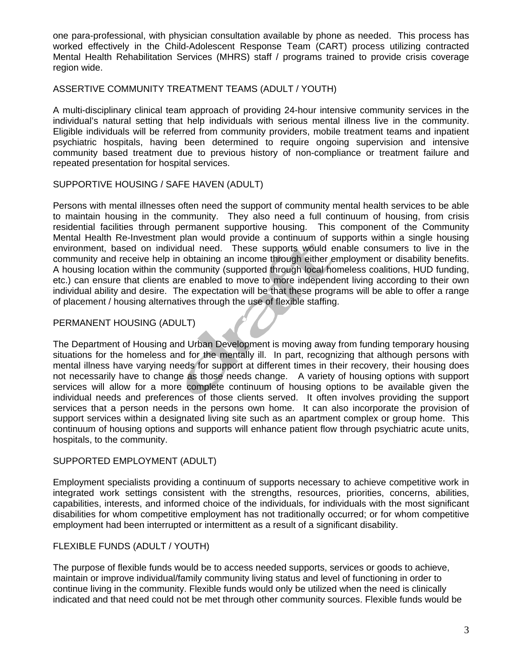one para-professional, with physician consultation available by phone as needed. This process has worked effectively in the Child-Adolescent Response Team (CART) process utilizing contracted Mental Health Rehabilitation Services (MHRS) staff / programs trained to provide crisis coverage region wide.

#### ASSERTIVE COMMUNITY TREATMENT TEAMS (ADULT / YOUTH)

A multi-disciplinary clinical team approach of providing 24-hour intensive community services in the individual's natural setting that help individuals with serious mental illness live in the community. Eligible individuals will be referred from community providers, mobile treatment teams and inpatient psychiatric hospitals, having been determined to require ongoing supervision and intensive community based treatment due to previous history of non-compliance or treatment failure and repeated presentation for hospital services.

#### SUPPORTIVE HOUSING / SAFE HAVEN (ADULT)

Persons with mental illnesses often need the support of community mental health services to be able to maintain housing in the community. They also need a full continuum of housing, from crisis residential facilities through permanent supportive housing. This component of the Community Mental Health Re-Investment plan would provide a continuum of supports within a single housing environment, based on individual need. These supports would enable consumers to live in the community and receive help in obtaining an income through either employment or disability benefits. A housing location within the community (supported through local homeless coalitions, HUD funding, etc.) can ensure that clients are enabled to move to more independent living according to their own individual ability and desire. The expectation will be that these programs will be able to offer a range of placement / housing alternatives through the use of flexible staffing.

#### PERMANENT HOUSING (ADULT)

The Department of Housing and Urban Development is moving away from funding temporary housing situations for the homeless and for the mentally ill. In part, recognizing that although persons with mental illness have varying needs for support at different times in their recovery, their housing does not necessarily have to change as those needs change. A variety of housing options with support services will allow for a more complete continuum of housing options to be available given the individual needs and preferences of those clients served. It often involves providing the support services that a person needs in the persons own home. It can also incorporate the provision of support services within a designated living site such as an apartment complex or group home. This continuum of housing options and supports will enhance patient flow through psychiatric acute units, hospitals, to the community.

#### SUPPORTED EMPLOYMENT (ADULT)

Employment specialists providing a continuum of supports necessary to achieve competitive work in integrated work settings consistent with the strengths, resources, priorities, concerns, abilities, capabilities, interests, and informed choice of the individuals, for individuals with the most significant disabilities for whom competitive employment has not traditionally occurred; or for whom competitive employment had been interrupted or intermittent as a result of a significant disability.

#### FLEXIBLE FUNDS (ADULT / YOUTH)

The purpose of flexible funds would be to access needed supports, services or goods to achieve, maintain or improve individual/family community living status and level of functioning in order to continue living in the community. Flexible funds would only be utilized when the need is clinically indicated and that need could not be met through other community sources. Flexible funds would be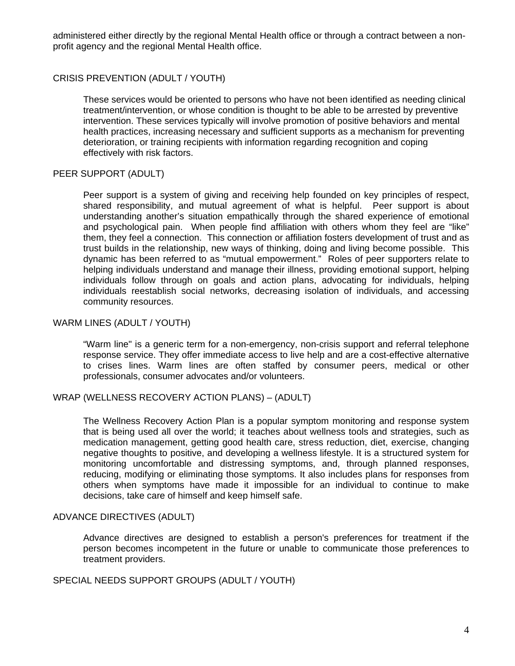administered either directly by the regional Mental Health office or through a contract between a nonprofit agency and the regional Mental Health office.

#### CRISIS PREVENTION (ADULT / YOUTH)

These services would be oriented to persons who have not been identified as needing clinical treatment/intervention, or whose condition is thought to be able to be arrested by preventive intervention. These services typically will involve promotion of positive behaviors and mental health practices, increasing necessary and sufficient supports as a mechanism for preventing deterioration, or training recipients with information regarding recognition and coping effectively with risk factors.

#### PEER SUPPORT (ADULT)

Peer support is a system of giving and receiving help founded on key principles of respect, shared responsibility, and mutual agreement of what is helpful. Peer support is about understanding another's situation empathically through the shared experience of emotional and psychological pain. When people find affiliation with others whom they feel are "like" them, they feel a connection. This connection or affiliation fosters development of trust and as trust builds in the relationship, new ways of thinking, doing and living become possible. This dynamic has been referred to as "mutual empowerment." Roles of peer supporters relate to helping individuals understand and manage their illness, providing emotional support, helping individuals follow through on goals and action plans, advocating for individuals, helping individuals reestablish social networks, decreasing isolation of individuals, and accessing community resources.

#### WARM LINES (ADULT / YOUTH)

"Warm line" is a generic term for a non-emergency, non-crisis support and referral telephone response service. They offer immediate access to live help and are a cost-effective alternative to crises lines. Warm lines are often staffed by consumer peers, medical or other professionals, consumer advocates and/or volunteers.

#### WRAP (WELLNESS RECOVERY ACTION PLANS) – (ADULT)

The Wellness Recovery Action Plan is a popular symptom monitoring and response system that is being used all over the world; it teaches about wellness tools and strategies, such as medication management, getting good health care, stress reduction, diet, exercise, changing negative thoughts to positive, and developing a wellness lifestyle. It is a structured system for monitoring uncomfortable and distressing symptoms, and, through planned responses, reducing, modifying or eliminating those symptoms. It also includes plans for responses from others when symptoms have made it impossible for an individual to continue to make decisions, take care of himself and keep himself safe.

#### ADVANCE DIRECTIVES (ADULT)

Advance directives are designed to establish a person's preferences for treatment if the person becomes incompetent in the future or unable to communicate those preferences to treatment providers.

#### SPECIAL NEEDS SUPPORT GROUPS (ADULT / YOUTH)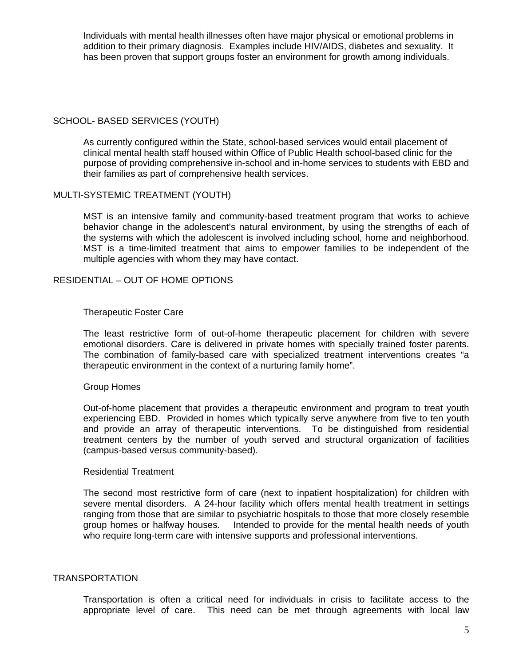Individuals with mental health illnesses often have major physical or emotional problems in addition to their primary diagnosis. Examples include HIV/AIDS, diabetes and sexuality. It has been proven that support groups foster an environment for growth among individuals.

#### SCHOOL- BASED SERVICES (YOUTH)

As currently configured within the State, school-based services would entail placement of clinical mental health staff housed within Office of Public Health school-based clinic for the purpose of providing comprehensive in-school and in-home services to students with EBD and their families as part of comprehensive health services.

#### MULTI-SYSTEMIC TREATMENT (YOUTH)

MST is an intensive family and community-based treatment program that works to achieve behavior change in the adolescent's natural environment, by using the strengths of each of the systems with which the adolescent is involved including school, home and neighborhood. MST is a time-limited treatment that aims to empower families to be independent of the multiple agencies with whom they may have contact.

#### RESIDENTIAL – OUT OF HOME OPTIONS

#### Therapeutic Foster Care

The least restrictive form of out-of-home therapeutic placement for children with severe emotional disorders. Care is delivered in private homes with specially trained foster parents. The combination of family-based care with specialized treatment interventions creates "a therapeutic environment in the context of a nurturing family home".

#### Group Homes

Out-of-home placement that provides a therapeutic environment and program to treat youth experiencing EBD. Provided in homes which typically serve anywhere from five to ten youth and provide an array of therapeutic interventions. To be distinguished from residential treatment centers by the number of youth served and structural organization of facilities (campus-based versus community-based).

#### Residential Treatment

The second most restrictive form of care (next to inpatient hospitalization) for children with severe mental disorders. A 24-hour facility which offers mental health treatment in settings ranging from those that are similar to psychiatric hospitals to those that more closely resemble group homes or halfway houses. Intended to provide for the mental health needs of youth who require long-term care with intensive supports and professional interventions.

#### TRANSPORTATION

Transportation is often a critical need for individuals in crisis to facilitate access to the appropriate level of care. This need can be met through agreements with local law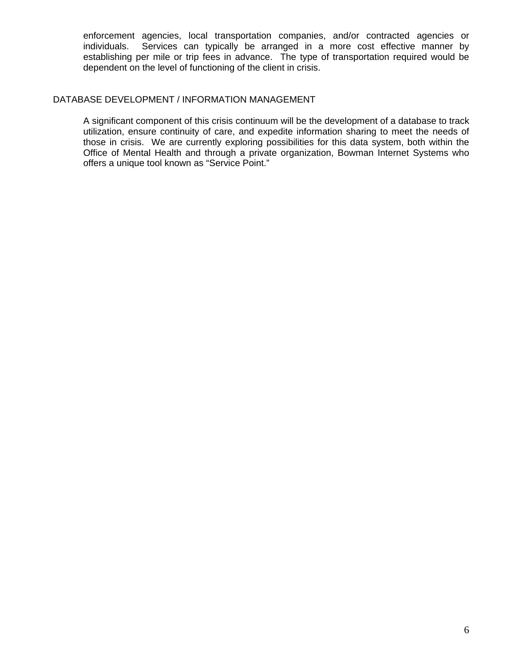enforcement agencies, local transportation companies, and/or contracted agencies or individuals. Services can typically be arranged in a more cost effective manner by establishing per mile or trip fees in advance. The type of transportation required would be dependent on the level of functioning of the client in crisis.

#### DATABASE DEVELOPMENT / INFORMATION MANAGEMENT

A significant component of this crisis continuum will be the development of a database to track utilization, ensure continuity of care, and expedite information sharing to meet the needs of those in crisis. We are currently exploring possibilities for this data system, both within the Office of Mental Health and through a private organization, Bowman Internet Systems who offers a unique tool known as "Service Point."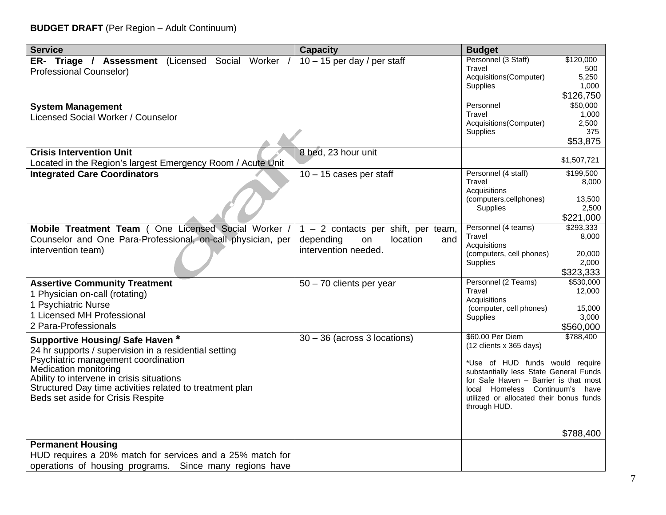# **BUDGET DRAFT** (Per Region – Adult Continuum)

| <b>Service</b>                                                                        | <b>Capacity</b>                       | <b>Budget</b>                                                       |                 |
|---------------------------------------------------------------------------------------|---------------------------------------|---------------------------------------------------------------------|-----------------|
| ER- Triage / Assessment (Licensed Social Worker /                                     | $10 - 15$ per day / per staff         | Personnel (3 Staff)                                                 | \$120,000       |
| <b>Professional Counselor)</b>                                                        |                                       | <b>Travel</b>                                                       | 500             |
|                                                                                       |                                       | Acquisitions(Computer)<br><b>Supplies</b>                           | 5,250<br>1,000  |
|                                                                                       |                                       |                                                                     | \$126,750       |
| <b>System Management</b>                                                              |                                       | Personnel                                                           | \$50,000        |
| Licensed Social Worker / Counselor                                                    |                                       | Travel                                                              | 1,000           |
|                                                                                       |                                       | Acquisitions(Computer)                                              | 2,500           |
|                                                                                       |                                       | <b>Supplies</b>                                                     | 375             |
|                                                                                       |                                       |                                                                     | \$53,875        |
| <b>Crisis Intervention Unit</b>                                                       | 8 bed, 23 hour unit                   |                                                                     | \$1,507,721     |
| Located in the Region's largest Emergency Room / Acute Unit                           |                                       |                                                                     |                 |
| <b>Integrated Care Coordinators</b>                                                   | $10 - 15$ cases per staff             | Personnel (4 staff)                                                 | \$199,500       |
|                                                                                       |                                       | Travel<br>Acquisitions                                              | 8,000           |
|                                                                                       |                                       | (computers, cellphones)                                             | 13,500          |
|                                                                                       |                                       | Supplies                                                            | 2,500           |
|                                                                                       |                                       |                                                                     | \$221,000       |
| Mobile Treatment Team (One Licensed Social Worker /                                   | $1 - 2$ contacts per shift, per team, | Personnel (4 teams)                                                 | \$293,333       |
| Counselor and One Para-Professional, on-call physician, per                           | depending<br>location<br>and<br>on    | Travel                                                              | 8,000           |
| intervention team)                                                                    | intervention needed.                  | Acquisitions<br>(computers, cell phones)                            | 20,000          |
|                                                                                       |                                       | <b>Supplies</b>                                                     | 2,000           |
|                                                                                       |                                       |                                                                     | \$323,333       |
| <b>Assertive Community Treatment</b>                                                  | 50 - 70 clients per year              | Personnel (2 Teams)                                                 | \$530,000       |
| 1 Physician on-call (rotating)                                                        |                                       | Travel                                                              | 12,000          |
| 1 Psychiatric Nurse                                                                   |                                       | Acquisitions                                                        |                 |
| 1 Licensed MH Professional                                                            |                                       | (computer, cell phones)<br>Supplies                                 | 15,000<br>3,000 |
| 2 Para-Professionals                                                                  |                                       |                                                                     | \$560,000       |
|                                                                                       | $30 - 36$ (across 3 locations)        | \$60.00 Per Diem                                                    | \$788,400       |
| Supportive Housing/ Safe Haven *                                                      |                                       | (12 clients x 365 days)                                             |                 |
| 24 hr supports / supervision in a residential setting                                 |                                       |                                                                     |                 |
| Psychiatric management coordination<br><b>Medication monitoring</b>                   |                                       | *Use of HUD funds would require                                     |                 |
| Ability to intervene in crisis situations                                             |                                       | substantially less State General Funds                              |                 |
| Structured Day time activities related to treatment plan                              |                                       | for Safe Haven - Barrier is that most<br>local Homeless Continuum's | have            |
| Beds set aside for Crisis Respite                                                     |                                       | utilized or allocated their bonus funds                             |                 |
|                                                                                       |                                       | through HUD.                                                        |                 |
|                                                                                       |                                       |                                                                     |                 |
|                                                                                       |                                       |                                                                     | \$788,400       |
|                                                                                       |                                       |                                                                     |                 |
| <b>Permanent Housing</b><br>HUD requires a 20% match for services and a 25% match for |                                       |                                                                     |                 |
| operations of housing programs. Since many regions have                               |                                       |                                                                     |                 |
|                                                                                       |                                       |                                                                     |                 |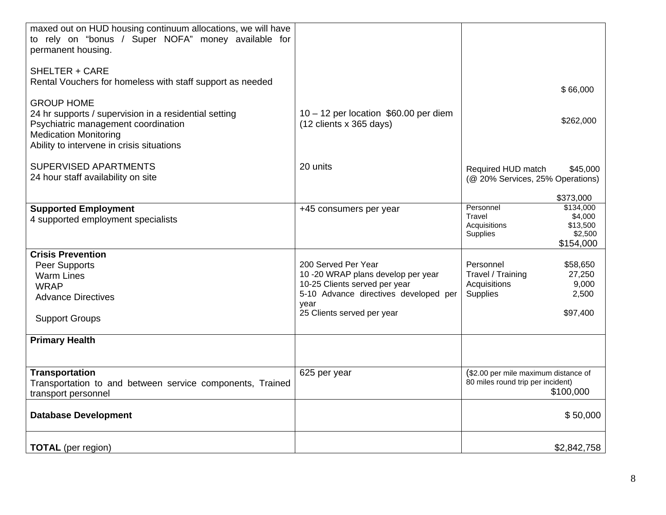| maxed out on HUD housing continuum allocations, we will have<br>to rely on "bonus / Super NOFA" money available for<br>permanent housing.                                                      |                                                                                                                                                                           |                                                                                                                          |  |
|------------------------------------------------------------------------------------------------------------------------------------------------------------------------------------------------|---------------------------------------------------------------------------------------------------------------------------------------------------------------------------|--------------------------------------------------------------------------------------------------------------------------|--|
| <b>SHELTER + CARE</b><br>Rental Vouchers for homeless with staff support as needed                                                                                                             |                                                                                                                                                                           | \$66,000                                                                                                                 |  |
| <b>GROUP HOME</b><br>24 hr supports / supervision in a residential setting<br>Psychiatric management coordination<br><b>Medication Monitoring</b><br>Ability to intervene in crisis situations | 10 - 12 per location \$60.00 per diem<br>(12 clients x 365 days)                                                                                                          | \$262,000                                                                                                                |  |
| SUPERVISED APARTMENTS<br>24 hour staff availability on site                                                                                                                                    | 20 units                                                                                                                                                                  | Required HUD match<br>\$45,000<br>(@ 20% Services, 25% Operations)                                                       |  |
| <b>Supported Employment</b><br>4 supported employment specialists                                                                                                                              | +45 consumers per year                                                                                                                                                    | \$373,000<br>Personnel<br>\$134,000<br>Travel<br>\$4,000<br>Acquisitions<br>\$13,500<br>\$2,500<br>Supplies<br>\$154,000 |  |
| <b>Crisis Prevention</b><br>Peer Supports<br><b>Warm Lines</b><br><b>WRAP</b><br><b>Advance Directives</b><br><b>Support Groups</b>                                                            | 200 Served Per Year<br>10 -20 WRAP plans develop per year<br>10-25 Clients served per year<br>5-10 Advance directives developed per<br>vear<br>25 Clients served per year | Personnel<br>\$58,650<br>Travel / Training<br>27,250<br>Acquisitions<br>9,000<br>Supplies<br>2,500<br>\$97,400           |  |
| <b>Primary Health</b>                                                                                                                                                                          |                                                                                                                                                                           |                                                                                                                          |  |
| <b>Transportation</b><br>Transportation to and between service components, Trained<br>transport personnel                                                                                      | 625 per year                                                                                                                                                              | (\$2.00 per mile maximum distance of<br>80 miles round trip per incident)<br>\$100,000                                   |  |
| <b>Database Development</b>                                                                                                                                                                    |                                                                                                                                                                           | \$50,000                                                                                                                 |  |
| <b>TOTAL</b> (per region)                                                                                                                                                                      |                                                                                                                                                                           | \$2,842,758                                                                                                              |  |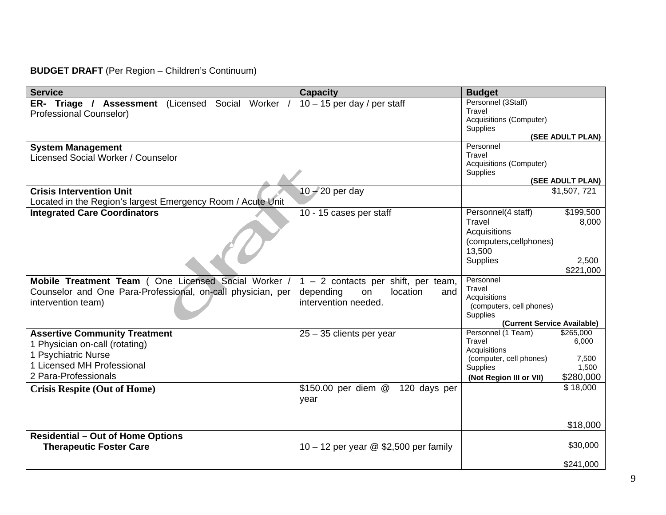# **BUDGET DRAFT** (Per Region – Children's Continuum)

| <b>Service</b>                                              | <b>Capacity</b>                         | <b>Budget</b>                                                  |
|-------------------------------------------------------------|-----------------------------------------|----------------------------------------------------------------|
| ER- Triage / Assessment (Licensed Social Worker /           | $10 - 15$ per day / per staff           | Personnel (3Staff)                                             |
| <b>Professional Counselor)</b>                              |                                         | Travel<br><b>Acquisitions (Computer)</b>                       |
|                                                             |                                         | Supplies                                                       |
|                                                             |                                         | (SEE ADULT PLAN)                                               |
| <b>System Management</b>                                    |                                         | Personnel                                                      |
| Licensed Social Worker / Counselor                          |                                         | Travel                                                         |
|                                                             |                                         | <b>Acquisitions (Computer)</b><br>Supplies                     |
|                                                             |                                         | (SEE ADULT PLAN)                                               |
| <b>Crisis Intervention Unit</b>                             | $10 - 20$ per day                       | \$1,507,721                                                    |
| Located in the Region's largest Emergency Room / Acute Unit |                                         |                                                                |
| <b>Integrated Care Coordinators</b>                         | 10 - 15 cases per staff                 | \$199,500<br>Personnel(4 staff)                                |
|                                                             |                                         | Travel<br>8,000                                                |
|                                                             |                                         | Acquisitions                                                   |
|                                                             |                                         | (computers, cellphones)                                        |
|                                                             |                                         | 13,500                                                         |
|                                                             |                                         | <b>Supplies</b><br>2,500                                       |
|                                                             |                                         | \$221,000<br>Personnel                                         |
| Mobile Treatment Team (One Licensed Social Worker /         | $1 - 2$ contacts per shift, per team,   | Travel                                                         |
| Counselor and One Para-Professional, on-call physician, per | depending<br>location<br>on<br>and      | Acquisitions                                                   |
| intervention team)                                          | intervention needed.                    | (computers, cell phones)                                       |
|                                                             |                                         | <b>Supplies</b>                                                |
| <b>Assertive Community Treatment</b>                        |                                         | (Current Service Available)<br>Personnel (1 Team)<br>\$265,000 |
|                                                             | $25 - 35$ clients per year              | Travel<br>6,000                                                |
| 1 Physician on-call (rotating)                              |                                         | Acquisitions                                                   |
| 1 Psychiatric Nurse<br>1 Licensed MH Professional           |                                         | (computer, cell phones)<br>7,500                               |
|                                                             |                                         | <b>Supplies</b><br>1,500                                       |
| 2 Para-Professionals                                        |                                         | \$280,000<br>(Not Region III or VII)                           |
| <b>Crisis Respite (Out of Home)</b>                         | 120 days per<br>\$150.00 per diem @     | \$18,000                                                       |
|                                                             | year                                    |                                                                |
|                                                             |                                         |                                                                |
|                                                             |                                         | \$18,000                                                       |
| <b>Residential - Out of Home Options</b>                    |                                         |                                                                |
| <b>Therapeutic Foster Care</b>                              | 10 – 12 per year $@$ \$2,500 per family | \$30,000                                                       |
|                                                             |                                         |                                                                |
|                                                             |                                         | \$241,000                                                      |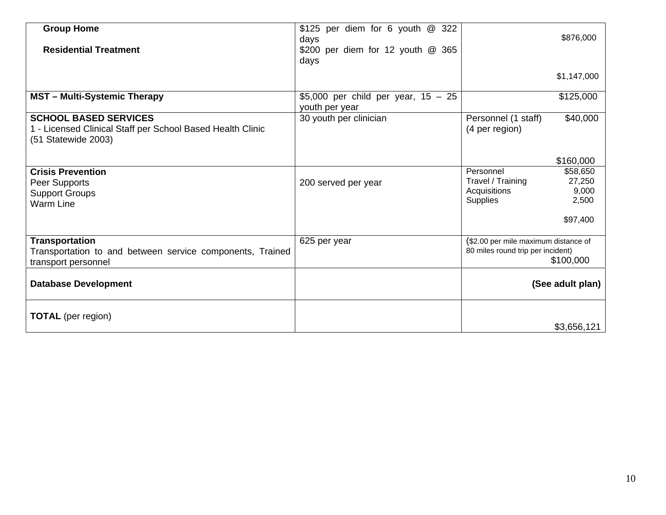| <b>Group Home</b><br><b>Residential Treatment</b>                                                                 | \$125 per diem for 6 youth @ 322<br>days<br>\$200 per diem for 12 youth @ 365<br>days |                                                                                        | \$876,000                                        |
|-------------------------------------------------------------------------------------------------------------------|---------------------------------------------------------------------------------------|----------------------------------------------------------------------------------------|--------------------------------------------------|
|                                                                                                                   |                                                                                       |                                                                                        | \$1,147,000                                      |
| <b>MST</b> - Multi-Systemic Therapy                                                                               | \$5,000 per child per year, $15 - 25$<br>youth per year                               |                                                                                        | \$125,000                                        |
| <b>SCHOOL BASED SERVICES</b><br>1 - Licensed Clinical Staff per School Based Health Clinic<br>(51 Statewide 2003) | 30 youth per clinician                                                                | Personnel (1 staff)<br>(4 per region)                                                  | \$40,000                                         |
|                                                                                                                   |                                                                                       |                                                                                        | \$160,000                                        |
| <b>Crisis Prevention</b><br>Peer Supports<br><b>Support Groups</b><br><b>Warm Line</b>                            | 200 served per year                                                                   | Personnel<br>Travel / Training<br>Acquisitions<br><b>Supplies</b>                      | \$58,650<br>27,250<br>9,000<br>2,500<br>\$97,400 |
| <b>Transportation</b><br>Transportation to and between service components, Trained<br>transport personnel         | 625 per year                                                                          | (\$2.00 per mile maximum distance of<br>80 miles round trip per incident)<br>\$100,000 |                                                  |
| <b>Database Development</b>                                                                                       |                                                                                       |                                                                                        | (See adult plan)                                 |
| <b>TOTAL</b> (per region)                                                                                         |                                                                                       |                                                                                        | \$3,656,121                                      |